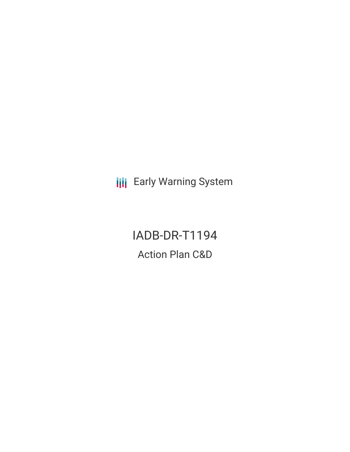**III** Early Warning System

IADB-DR-T1194 Action Plan C&D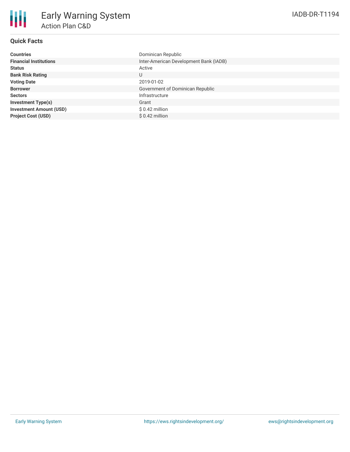# **Quick Facts**

| <b>Countries</b>               | Dominican Republic                     |
|--------------------------------|----------------------------------------|
| <b>Financial Institutions</b>  | Inter-American Development Bank (IADB) |
| <b>Status</b>                  | Active                                 |
| <b>Bank Risk Rating</b>        | U                                      |
| <b>Voting Date</b>             | 2019-01-02                             |
| <b>Borrower</b>                | Government of Dominican Republic       |
| <b>Sectors</b>                 | Infrastructure                         |
| <b>Investment Type(s)</b>      | Grant                                  |
| <b>Investment Amount (USD)</b> | $$0.42$ million                        |
| <b>Project Cost (USD)</b>      | $$0.42$ million                        |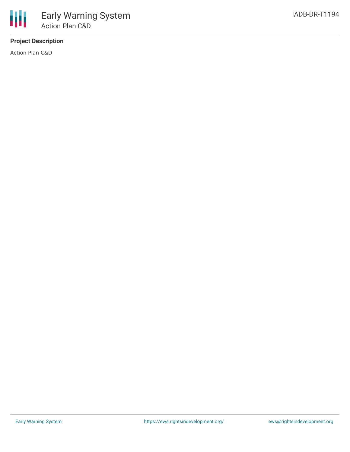# **Project Description**

Action Plan C&D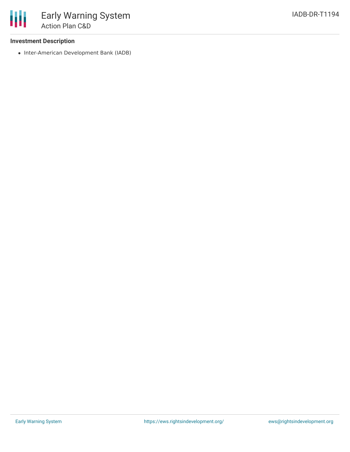## **Investment Description**

• Inter-American Development Bank (IADB)